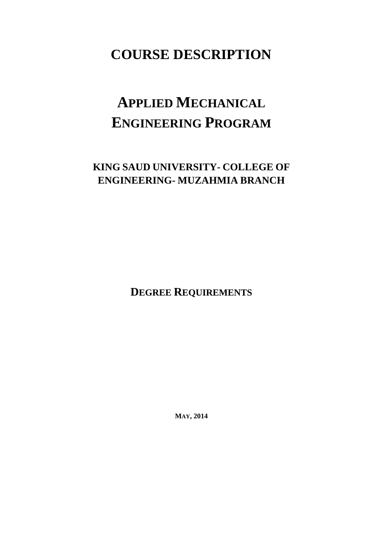# **COURSE DESCRIPTION**

# **APPLIED MECHANICAL ENGINEERING PROGRAM**

## **KING SAUD UNIVERSITY- COLLEGE OF ENGINEERING- MUZAHMIA BRANCH**

**DEGREE REQUIREMENTS**

**MAY, 2014**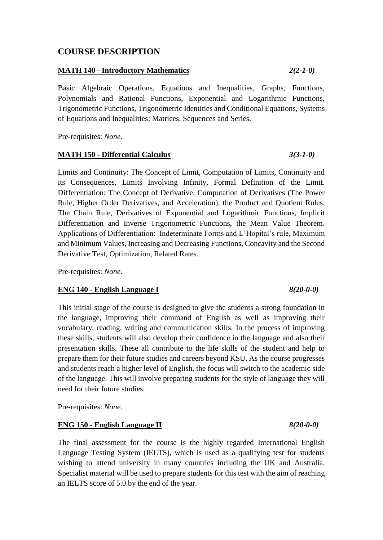### **COURSE DESCRIPTION**

#### **MATH 140 - Introductory Mathematics** *2(2-1-0)*

Basic Algebraic Operations, Equations and Inequalities, Graphs, Functions, Polynomials and Rational Functions, Exponential and Logarithmic Functions, Trigonometric Functions, Trigonometric Identities and Conditional Equations, Systems of Equations and Inequalities; Matrices, Sequences and Series.

Pre-requisites: *None*.

#### **MATH 150 - Differential Calculus** *3(3-1-0)*

Limits and Continuity: The Concept of Limit, Computation of Limits, Continuity and its Consequences, Limits Involving Infinity, Formal Definition of the Limit. Differentiation: The Concept of Derivative, Computation of Derivatives (The Power Rule, Higher Order Derivatives, and Acceleration), the Product and Quotient Rules, The Chain Rule, Derivatives of Exponential and Logarithmic Functions, Implicit Differentiation and Inverse Trigonometric Functions, the Mean Value Theorem. Applications of Differentiation: Indeterminate Forms and L'Hopital's rule, Maximum and Minimum Values, Increasing and Decreasing Functions, Concavity and the Second Derivative Test, Optimization, Related Rates.

Pre-requisites: *None*.

#### **ENG 140 - English Language I** *8(20-0-0)*

This initial stage of the course is designed to give the students a strong foundation in the language, improving their command of English as well as improving their vocabulary, reading, writing and communication skills. In the process of improving these skills, students will also develop their confidence in the language and also their presentation skills. These all contribute to the life skills of the student and help to prepare them for their future studies and careers beyond KSU. As the course progresses and students reach a higher level of English, the focus will switch to the academic side of the language. This will involve preparing students for the style of language they will need for their future studies.

Pre-requisites: *None*.

#### **ENG 150 - English Language II** *8(20-0-0)*

The final assessment for the course is the highly regarded International English Language Testing System (IELTS), which is used as a qualifying test for students wishing to attend university in many countries including the UK and Australia. Specialist material will be used to prepare students for this test with the aim of reaching an IELTS score of 5.0 by the end of the year.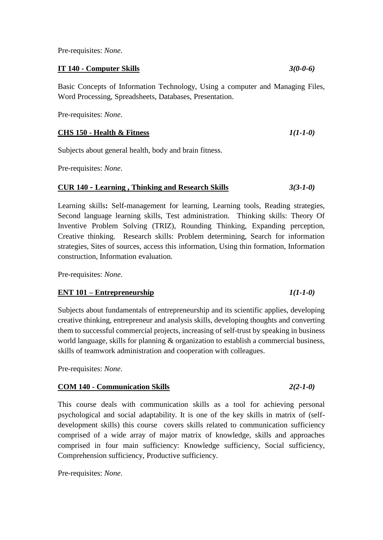Pre-requisites: *None*.

**IT 140 - Computer Skills** *3(0-0-6)*

Basic Concepts of Information Technology, Using a computer and Managing Files, Word Processing, Spreadsheets, Databases, Presentation.

Pre-requisites: *None*.

#### **CHS 150 - Health & Fitness** *1(1-1-0)*

Subjects about general health, body and brain fitness.

Pre-requisites: *None*.

#### **CUR 140 - Learning , Thinking and Research Skills** *3(3-1-0)*

Learning skills**:** Self-management for learning, Learning tools, Reading strategies, Second language learning skills, Test administration. Thinking skills: Theory Of Inventive Problem Solving (TRIZ), Rounding Thinking, Expanding perception, Creative thinking. Research skills: Problem determining, Search for information strategies, Sites of sources, access this information, Using thin formation, Information construction, Information evaluation.

Pre-requisites: *None*.

#### **ENT 101 – Entrepreneurship** *1(1-1-0)*

Subjects about fundamentals of entrepreneurship and its scientific applies, developing creative thinking, entrepreneur and analysis skills, developing thoughts and converting them to successful commercial projects, increasing of self-trust by speaking in business world language, skills for planning & organization to establish a commercial business, skills of teamwork administration and cooperation with colleagues.

Pre-requisites: *None*.

#### **COM 140 - Communication Skills** *2(2-1-0)*

This course deals with communication skills as a tool for achieving personal psychological and social adaptability. It is one of the key skills in matrix of (selfdevelopment skills) this course covers skills related to communication sufficiency comprised of a wide array of major matrix of knowledge, skills and approaches comprised in four main sufficiency: Knowledge sufficiency, Social sufficiency, Comprehension sufficiency, Productive sufficiency.

Pre-requisites: *None*.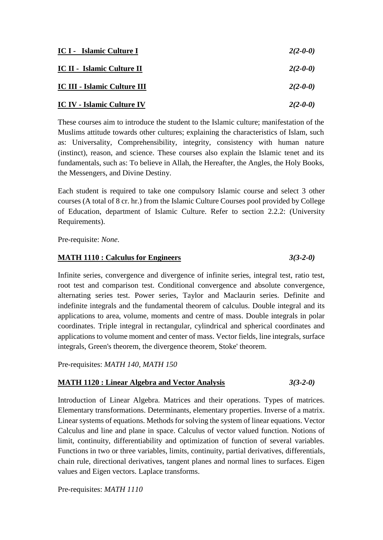| IC I - Islamic Culture I            | $2(2-0-0)$ |
|-------------------------------------|------------|
| IC II - Islamic Culture II          | $2(2-0-0)$ |
| <b>IC III - Islamic Culture III</b> | $2(2-0-0)$ |
| <b>IC IV - Islamic Culture IV</b>   | $2(2-0-0)$ |

These courses aim to introduce the student to the Islamic culture; manifestation of the Muslims attitude towards other cultures; explaining the characteristics of Islam, such as: Universality, Comprehensibility, integrity, consistency with human nature (instinct), reason, and science. These courses also explain the Islamic tenet and its fundamentals, such as: To believe in Allah, the Hereafter, the Angles, the Holy Books, the Messengers, and Divine Destiny.

Each student is required to take one compulsory Islamic course and select 3 other courses (A total of 8 cr. hr.) from the Islamic Culture Courses pool provided by College of Education, department of Islamic Culture. Refer to section 2.2.2: (University Requirements).

Pre-requisite: *None*.

#### **MATH 1110 : Calculus for Engineers** *3(3-2-0)*

Infinite series, convergence and divergence of infinite series, integral test, ratio test, root test and comparison test. Conditional convergence and absolute convergence, alternating series test. Power series, Taylor and Maclaurin series. Definite and indefinite integrals and the fundamental theorem of calculus. Double integral and its applications to area, volume, moments and centre of mass. Double integrals in polar coordinates. Triple integral in rectangular, cylindrical and spherical coordinates and applications to volume moment and center of mass. Vector fields, line integrals, surface integrals, Green's theorem, the divergence theorem, Stoke' theorem.

Pre-requisites: *MATH 140, MATH 150*

#### **MATH 1120 : Linear Algebra and Vector Analysis** *3(3-2-0)*

Introduction of Linear Algebra. Matrices and their operations. Types of matrices. Elementary transformations. Determinants, elementary properties. Inverse of a matrix. Linear systems of equations. Methods for solving the system of linear equations. Vector Calculus and line and plane in space. Calculus of vector valued function. Notions of limit, continuity, differentiability and optimization of function of several variables. Functions in two or three variables, limits, continuity, partial derivatives, differentials, chain rule, directional derivatives, tangent planes and normal lines to surfaces. Eigen values and Eigen vectors. Laplace transforms.

Pre-requisites: *MATH 1110*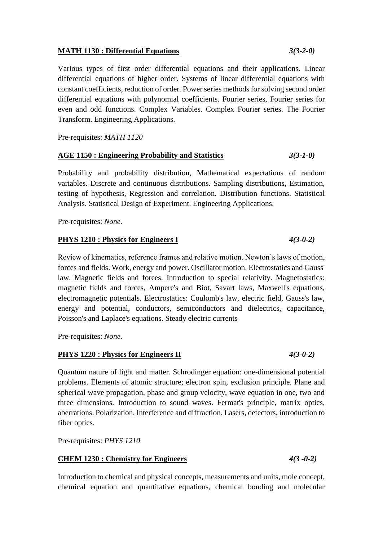#### **MATH 1130 : Differential Equations** *3(3-2-0)*

Various types of first order differential equations and their applications. Linear differential equations of higher order. Systems of linear differential equations with constant coefficients, reduction of order. Power series methods for solving second order differential equations with polynomial coefficients. Fourier series, Fourier series for even and odd functions. Complex Variables. Complex Fourier series. The Fourier Transform. Engineering Applications.

Pre-requisites: *MATH 1120*

#### **AGE 1150 : Engineering Probability and Statistics** *3(3-1-0)*

Probability and probability distribution, Mathematical expectations of random variables. Discrete and continuous distributions. Sampling distributions, Estimation, testing of hypothesis, Regression and correlation. Distribution functions. Statistical Analysis. Statistical Design of Experiment. Engineering Applications.

Pre-requisites: *None.*

#### **PHYS 1210 : Physics for Engineers I** *4(3-0-2)*

Review of kinematics, reference frames and relative motion. Newton's laws of motion, forces and fields. Work, energy and power. Oscillator motion. Electrostatics and Gauss' law. Magnetic fields and forces. Introduction to special relativity. Magnetostatics: magnetic fields and forces, Ampere's and Biot, Savart laws, Maxwell's equations, electromagnetic potentials. Electrostatics: Coulomb's law, electric field, Gauss's law, energy and potential, conductors, semiconductors and dielectrics, capacitance, Poisson's and Laplace's equations. Steady electric currents

Pre-requisites: *None.*

#### **PHYS 1220 : Physics for Engineers II** *4(3-0-2)*

Quantum nature of light and matter. Schrodinger equation: one-dimensional potential problems. Elements of atomic structure; electron spin, exclusion principle. Plane and spherical wave propagation, phase and group velocity, wave equation in one, two and three dimensions. Introduction to sound waves. Fermat's principle, matrix optics, aberrations. Polarization. Interference and diffraction. Lasers, detectors, introduction to fiber optics.

Pre-requisites: *PHYS 1210*

### **CHEM 1230 : Chemistry for Engineers** *4(3 -0-2)*

Introduction to chemical and physical concepts, measurements and units, mole concept, chemical equation and quantitative equations, chemical bonding and molecular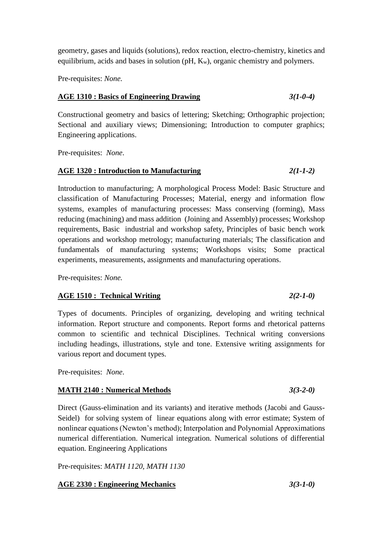geometry, gases and liquids (solutions), redox reaction, electro-chemistry, kinetics and equilibrium, acids and bases in solution  $(pH, K_w)$ , organic chemistry and polymers.

Pre-requisites: *None.*

#### **AGE 1310 : Basics of Engineering Drawing** *3(1-0-4)*

Constructional geometry and basics of lettering; Sketching; Orthographic projection; Sectional and auxiliary views; Dimensioning; Introduction to computer graphics; Engineering applications.

Pre-requisites: *None*.

### **AGE 1320 : Introduction to Manufacturing** *2(1-1-2)*

Introduction to manufacturing; A morphological Process Model: Basic Structure and classification of Manufacturing Processes; Material, energy and information flow systems, examples of manufacturing processes: Mass conserving (forming), Mass reducing (machining) and mass addition (Joining and Assembly) processes; Workshop requirements, Basic industrial and workshop safety, Principles of basic bench work operations and workshop metrology; manufacturing materials; The classification and fundamentals of manufacturing systems; Workshops visits; Some practical experiments, measurements, assignments and manufacturing operations.

Pre-requisites: *None.*

### **AGE 1510 : Technical Writing** *2(2-1-0)*

### Types of documents. Principles of organizing, developing and writing technical information. Report structure and components. Report forms and rhetorical patterns common to scientific and technical Disciplines. Technical writing conversions including headings, illustrations, style and tone. Extensive writing assignments for various report and document types.

Pre-requisites: *None*.

### **MATH 2140 : Numerical Methods** *3(3-2-0)*

Direct (Gauss-elimination and its variants) and iterative methods (Jacobi and Gauss-Seidel) for solving system of linear equations along with error estimate; System of nonlinear equations (Newton's method); Interpolation and Polynomial Approximations numerical differentiation. Numerical integration. Numerical solutions of differential equation. Engineering Applications

Pre-requisites: *MATH 1120, MATH 1130*

### **AGE 2330 : Engineering Mechanics** *3(3-1-0)*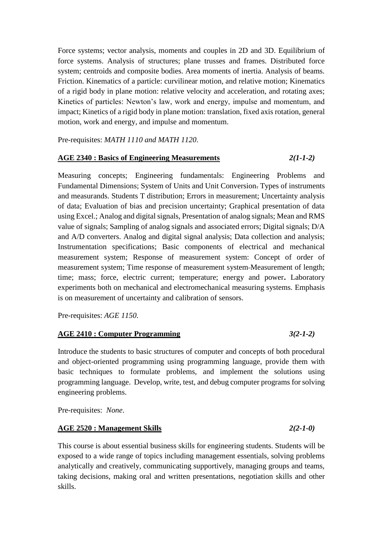Force systems; vector analysis, moments and couples in 2D and 3D. Equilibrium of force systems. Analysis of structures; plane trusses and frames. Distributed force system; centroids and composite bodies. Area moments of inertia. Analysis of beams. Friction. Kinematics of a particle: curvilinear motion, and relative motion; Kinematics of a rigid body in plane motion: relative velocity and acceleration, and rotating axes; Kinetics of particles: Newton's law, work and energy, impulse and momentum, and impact; Kinetics of a rigid body in plane motion: translation, fixed axis rotation, general motion, work and energy, and impulse and momentum.

Pre-requisites: *MATH 1110 and MATH 1120*.

#### **AGE 2340 : Basics of Engineering Measurements** *2(1-1-2)*

Measuring concepts; Engineering fundamentals: Engineering Problems and Fundamental Dimensions; System of Units and Unit Conversion. Types of instruments and measurands. Students T distribution; Errors in measurement; Uncertainty analysis of data; Evaluation of bias and precision uncertainty; Graphical presentation of data using Excel.; Analog and digital signals, Presentation of analog signals; Mean and RMS value of signals; Sampling of analog signals and associated errors; Digital signals; D/A and A/D converters. Analog and digital signal analysis; Data collection and analysis; Instrumentation specifications; Basic components of electrical and mechanical measurement system; Response of measurement system: Concept of order of measurement system; Time response of measurement system Measurement of length; time; mass; force, electric current; temperature; energy and power**.** Laboratory experiments both on mechanical and electromechanical measuring systems. Emphasis is on measurement of uncertainty and calibration of sensors.

Pre-requisites: *AGE 1150.*

#### **AGE 2410 : Computer Programming** *3(2-1-2)*

Introduce the students to basic structures of computer and concepts of both procedural and object-oriented programming using programming language, provide them with basic techniques to formulate problems, and implement the solutions using programming language. Develop, write, test, and debug computer programs for solving engineering problems.

Pre-requisites: *None*.

#### **AGE 2520 : Management Skills** *2(2-1-0)*

This course is about essential business skills for engineering students. Students will be exposed to a wide range of topics including management essentials, solving problems analytically and creatively, communicating supportively, managing groups and teams, taking decisions, making oral and written presentations, negotiation skills and other skills.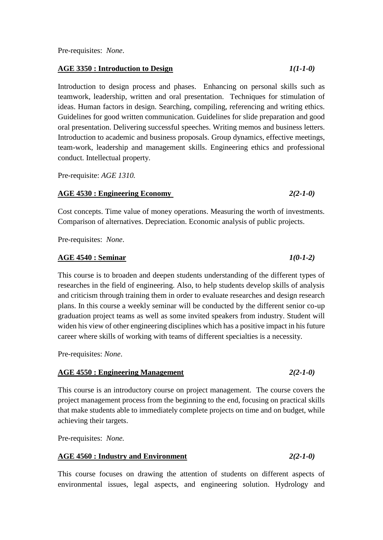#### **AGE 3350 : Introduction to Design** *1(1-1-0)*

Introduction to design process and phases. Enhancing on personal skills such as teamwork, leadership, written and oral presentation. Techniques for stimulation of ideas. Human factors in design. Searching, compiling, referencing and writing ethics. Guidelines for good written communication. Guidelines for slide preparation and good oral presentation. Delivering successful speeches. Writing memos and business letters. Introduction to academic and business proposals. Group dynamics, effective meetings, team-work, leadership and management skills. Engineering ethics and professional conduct. Intellectual property.

Pre-requisite: *AGE 1310.*

#### **AGE 4530 : Engineering Economy** *2(2-1-0)*

Cost concepts. Time value of money operations. Measuring the worth of investments. Comparison of alternatives. Depreciation. Economic analysis of public projects.

Pre-requisites: *None*.

#### **AGE 4540 : Seminar** *1(0-1-2)*

This course is to broaden and deepen students understanding of the different types of researches in the field of engineering. Also, to help students develop skills of analysis and criticism through training them in order to evaluate researches and design research plans. In this course a weekly seminar will be conducted by the different senior co-up graduation project teams as well as some invited speakers from industry. Student will widen his view of other engineering disciplines which has a positive impact in his future career where skills of working with teams of different specialties is a necessity.

Pre-requisites: *None*.

#### **AGE 4550 : Engineering Management** *2(2-1-0)*

This course is an introductory course on project management. The course covers the project management process from the beginning to the end, focusing on practical skills that make students able to immediately complete projects on time and on budget, while achieving their targets.

Pre-requisites: *None.*

#### **AGE 4560 : Industry and Environment** *2(2-1-0)*

This course focuses on drawing the attention of students on different aspects of environmental issues, legal aspects, and engineering solution. Hydrology and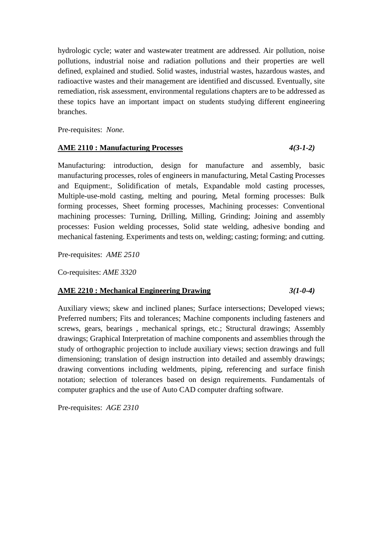hydrologic cycle; water and wastewater treatment are addressed. Air pollution, noise pollutions, industrial noise and radiation pollutions and their properties are well defined, explained and studied. Solid wastes, industrial wastes, hazardous wastes, and radioactive wastes and their management are identified and discussed. Eventually, site remediation, risk assessment, environmental regulations chapters are to be addressed as these topics have an important impact on students studying different engineering branches.

Pre-requisites: *None.*

#### **AME 2110 : Manufacturing Processes** *4(3-1-2)*

Manufacturing: introduction, design for manufacture and assembly, basic manufacturing processes, roles of engineers in manufacturing, Metal Casting Processes and Equipment:, Solidification of metals, Expandable mold casting processes, Multiple-use-mold casting, melting and pouring, Metal forming processes: Bulk forming processes, Sheet forming processes, Machining processes: Conventional machining processes: Turning, Drilling, Milling, Grinding; Joining and assembly processes: Fusion welding processes, Solid state welding, adhesive bonding and mechanical fastening. Experiments and tests on, welding; casting; forming; and cutting.

Pre-requisites: *AME 2510*

Co-requisites: *AME 3320*

#### **AME 2210 : Mechanical Engineering Drawing** *3(1-0-4)*

Auxiliary views; skew and inclined planes; Surface intersections; Developed views; Preferred numbers; Fits and tolerances; Machine components including fasteners and screws, gears, bearings , mechanical springs, etc.; Structural drawings; Assembly drawings; Graphical Interpretation of machine components and assemblies through the study of orthographic projection to include auxiliary views; section drawings and full dimensioning; translation of design instruction into detailed and assembly drawings; drawing conventions including weldments, piping, referencing and surface finish notation; selection of tolerances based on design requirements. Fundamentals of computer graphics and the use of Auto CAD computer drafting software.

Pre-requisites: *AGE 2310*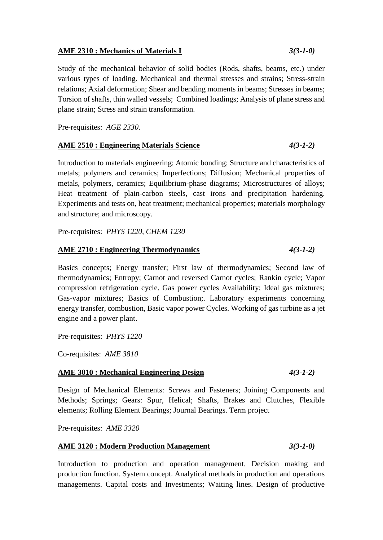#### **AME 2310 : Mechanics of Materials I** *3(3-1-0)*

Study of the mechanical behavior of solid bodies (Rods, shafts, beams, etc.) under various types of loading. Mechanical and thermal stresses and strains; Stress-strain relations; Axial deformation; Shear and bending moments in beams; Stresses in beams; Torsion of shafts, thin walled vessels; Combined loadings; Analysis of plane stress and plane strain; Stress and strain transformation.

Pre-requisites: *AGE 2330.*

#### **AME 2510 : Engineering Materials Science** *4(3-1-2)*

Introduction to materials engineering; Atomic bonding; Structure and characteristics of metals; polymers and ceramics; Imperfections; Diffusion; Mechanical properties of metals, polymers, ceramics; Equilibrium-phase diagrams; Microstructures of alloys; Heat treatment of plain-carbon steels, cast irons and precipitation hardening. Experiments and tests on, heat treatment; mechanical properties; materials morphology and structure; and microscopy.

Pre-requisites: *PHYS 1220, CHEM 1230*

#### **AME 2710 : Engineering Thermodynamics** *4(3-1-2)*

Basics concepts; Energy transfer; First law of thermodynamics; Second law of thermodynamics; Entropy; Carnot and reversed Carnot cycles; Rankin cycle; Vapor compression refrigeration cycle. Gas power cycles Availability; Ideal gas mixtures; Gas-vapor mixtures; Basics of Combustion;. Laboratory experiments concerning energy transfer, combustion, Basic vapor power Cycles. Working of gas turbine as a jet engine and a power plant.

Pre-requisites: *PHYS 1220*

Co-requisites: *AME 3810*

#### **AME 3010 : Mechanical Engineering Design** *4(3-1-2)*

Design of Mechanical Elements: Screws and Fasteners; Joining Components and Methods; Springs; Gears: Spur, Helical; Shafts, Brakes and Clutches, Flexible elements; Rolling Element Bearings; Journal Bearings. Term project

Pre-requisites: *AME 3320*

#### **AME 3120 : Modern Production Management** *3(3-1-0)*

Introduction to production and operation management. Decision making and production function. System concept. Analytical methods in production and operations managements. Capital costs and Investments; Waiting lines. Design of productive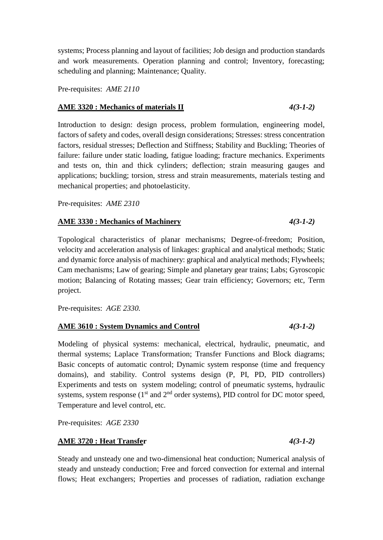systems; Process planning and layout of facilities; Job design and production standards and work measurements. Operation planning and control; Inventory, forecasting; scheduling and planning; Maintenance; Quality.

Pre-requisites: *AME 2110*

#### **AME 3320 : Mechanics of materials II** *4(3-1-2)*

Introduction to design: design process, problem formulation, engineering model, factors of safety and codes, overall design considerations; Stresses: stress concentration factors, residual stresses; Deflection and Stiffness; Stability and Buckling; Theories of failure: failure under static loading, fatigue loading; fracture mechanics. Experiments and tests on, thin and thick cylinders; deflection; strain measuring gauges and applications; buckling; torsion, stress and strain measurements, materials testing and mechanical properties; and photoelasticity.

Pre-requisites: *AME 2310*

#### **AME 3330 : Mechanics of Machinery** *4(3-1-2)*

Topological characteristics of planar mechanisms; Degree-of-freedom; Position, velocity and acceleration analysis of linkages: graphical and analytical methods; Static and dynamic force analysis of machinery: graphical and analytical methods; Flywheels; Cam mechanisms; Law of gearing; Simple and planetary gear trains; Labs; Gyroscopic motion; Balancing of Rotating masses; Gear train efficiency; Governors; etc, Term project.

Pre-requisites: *AGE 2330.*

#### **AME 3610 : System Dynamics and Control** *4(3-1-2)*

Modeling of physical systems: mechanical, electrical, hydraulic, pneumatic, and thermal systems; Laplace Transformation; Transfer Functions and Block diagrams; Basic concepts of automatic control; Dynamic system response (time and frequency domains), and stability. Control systems design (P, PI, PD, PID controllers) Experiments and tests on system modeling; control of pneumatic systems, hydraulic systems, system response  $(1<sup>st</sup>$  and  $2<sup>nd</sup>$  order systems), PID control for DC motor speed, Temperature and level control, etc.

Pre-requisites: *AGE 2330*

#### **AME 3720 : Heat Transfer** *4(3-1-2)*

Steady and unsteady one and two-dimensional heat conduction; Numerical analysis of steady and unsteady conduction; Free and forced convection for external and internal flows; Heat exchangers; Properties and processes of radiation, radiation exchange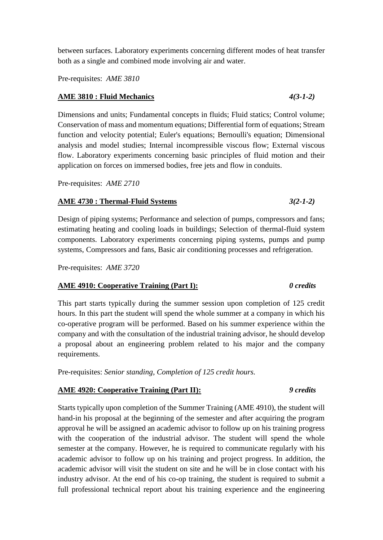between surfaces. Laboratory experiments concerning different modes of heat transfer both as a single and combined mode involving air and water.

Pre-requisites: *AME 3810*

#### **AME 3810 : Fluid Mechanics** *4(3-1-2)*

Dimensions and units; Fundamental concepts in fluids; Fluid statics; Control volume; Conservation of mass and momentum equations; Differential form of equations; Stream function and velocity potential; Euler's equations; Bernoulli's equation; Dimensional analysis and model studies; Internal incompressible viscous flow; External viscous flow. Laboratory experiments concerning basic principles of fluid motion and their application on forces on immersed bodies, free jets and flow in conduits.

Pre-requisites: *AME 2710*

#### **AME 4730 : Thermal-Fluid Systems** *3(2-1-2)*

Design of piping systems; Performance and selection of pumps, compressors and fans; estimating heating and cooling loads in buildings; Selection of thermal-fluid system components. Laboratory experiments concerning piping systems, pumps and pump systems, Compressors and fans, Basic air conditioning processes and refrigeration.

Pre-requisites: *AME 3720*

#### **AME 4910: Cooperative Training (Part I):** *0 credits*

This part starts typically during the summer session upon completion of 125 credit hours. In this part the student will spend the whole summer at a company in which his co-operative program will be performed. Based on his summer experience within the company and with the consultation of the industrial training advisor, he should develop a proposal about an engineering problem related to his major and the company requirements.

Pre-requisites: *Senior standing, Completion of 125 credit hours.*

### **AME 4920: Cooperative Training (Part II):** *9 credits*

### Starts typically upon completion of the Summer Training (AME 4910), the student will hand-in his proposal at the beginning of the semester and after acquiring the program approval he will be assigned an academic advisor to follow up on his training progress with the cooperation of the industrial advisor. The student will spend the whole semester at the company. However, he is required to communicate regularly with his academic advisor to follow up on his training and project progress. In addition, the academic advisor will visit the student on site and he will be in close contact with his industry advisor. At the end of his co-op training, the student is required to submit a full professional technical report about his training experience and the engineering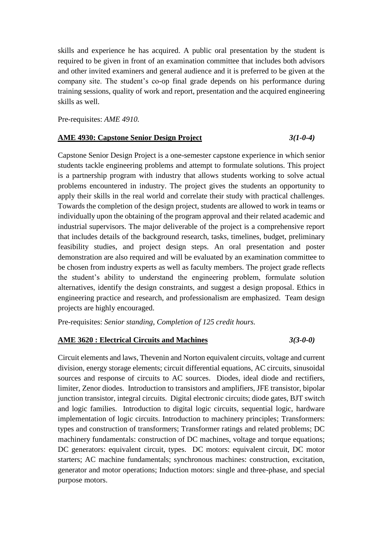skills and experience he has acquired. A public oral presentation by the student is required to be given in front of an examination committee that includes both advisors and other invited examiners and general audience and it is preferred to be given at the company site. The student's co-op final grade depends on his performance during training sessions, quality of work and report, presentation and the acquired engineering skills as well.

Pre-requisites: *AME 4910.*

#### **AME 4930: Capstone Senior Design Project** *3(1-0-4)*

Capstone Senior Design Project is a one-semester capstone experience in which senior students tackle engineering problems and attempt to formulate solutions. This project is a partnership program with industry that allows students working to solve actual problems encountered in industry. The project gives the students an opportunity to apply their skills in the real world and correlate their study with practical challenges. Towards the completion of the design project, students are allowed to work in teams or individually upon the obtaining of the program approval and their related academic and industrial supervisors. The major deliverable of the project is a comprehensive report that includes details of the background research, tasks, timelines, budget, preliminary feasibility studies, and project design steps. An oral presentation and poster demonstration are also required and will be evaluated by an examination committee to be chosen from industry experts as well as faculty members. The project grade reflects the student's ability to understand the engineering problem, formulate solution alternatives, identify the design constraints, and suggest a design proposal. Ethics in engineering practice and research, and professionalism are emphasized. Team design projects are highly encouraged.

Pre-requisites: *Senior standing, Completion of 125 credit hours.*

#### **AME 3620 : Electrical Circuits and Machines** *3(3-0-0)*

Circuit elements and laws, Thevenin and Norton equivalent circuits, voltage and current division, energy storage elements; circuit differential equations, AC circuits, sinusoidal sources and response of circuits to AC sources. Diodes, ideal diode and rectifiers, limiter, Zenor diodes. Introduction to transistors and amplifiers, JFE transistor, bipolar junction transistor, integral circuits. Digital electronic circuits; diode gates, BJT switch and logic families. Introduction to digital logic circuits, sequential logic, hardware implementation of logic circuits. Introduction to machinery principles; Transformers: types and construction of transformers; Transformer ratings and related problems; DC machinery fundamentals: construction of DC machines, voltage and torque equations; DC generators: equivalent circuit, types. DC motors: equivalent circuit, DC motor starters; AC machine fundamentals; synchronous machines: construction, excitation, generator and motor operations; Induction motors: single and three-phase, and special purpose motors.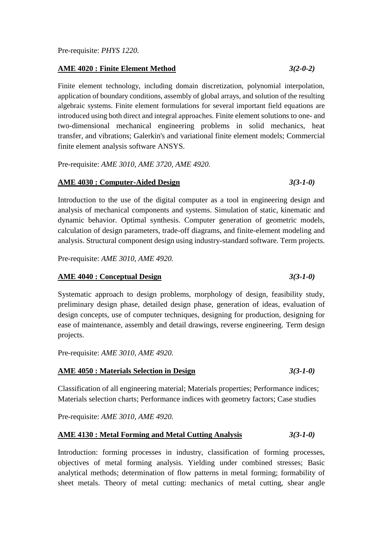#### **AME 4020 : Finite Element Method** *3(2-0-2)*

Finite element technology, including domain discretization, polynomial interpolation, application of boundary conditions, assembly of global arrays, and solution of the resulting algebraic systems. Finite element formulations for several important field equations are introduced using both direct and integral approaches. Finite element solutions to one- and two-dimensional mechanical engineering problems in solid mechanics, heat transfer, and vibrations; Galerkin's and variational finite element models; Commercial finite element analysis software ANSYS.

Pre-requisite: *AME 3010, AME 3720, AME 4920.*

#### **AME 4030 : Computer-Aided Design** *3(3-1-0)*

Introduction to the use of the digital computer as a tool in engineering design and analysis of mechanical components and systems. Simulation of static, kinematic and dynamic behavior. Optimal synthesis. Computer generation of geometric models, calculation of design parameters, trade-off diagrams, and finite-element modeling and analysis. Structural component design using industry-standard software. Term projects.

Pre-requisite: *AME 3010, AME 4920.*

#### **AME 4040 : Conceptual Design** *3(3-1-0)*

Systematic approach to design problems, morphology of design, feasibility study, preliminary design phase, detailed design phase, generation of ideas, evaluation of design concepts, use of computer techniques, designing for production, designing for ease of maintenance, assembly and detail drawings, reverse engineering. Term design projects.

Pre-requisite: *AME 3010, AME 4920.*

#### **AME 4050 : Materials Selection in Design** *3(3-1-0)*

Classification of all engineering material; Materials properties; Performance indices; Materials selection charts; Performance indices with geometry factors; Case studies

Pre-requisite: *AME 3010, AME 4920.*

#### **AME 4130 : Metal Forming and Metal Cutting Analysis** *3(3-1-0)*

Introduction: forming processes in industry, classification of forming processes, objectives of metal forming analysis. Yielding under combined stresses; Basic analytical methods; determination of flow patterns in metal forming; formability of sheet metals. Theory of metal cutting: mechanics of metal cutting, shear angle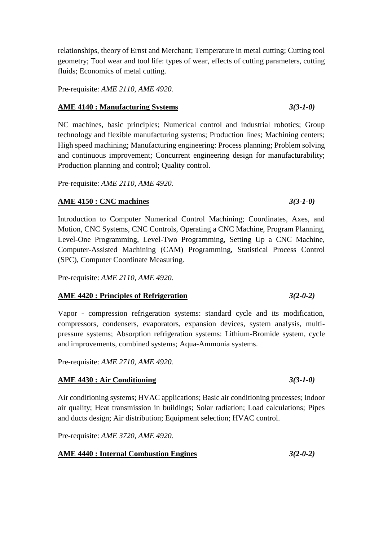relationships, theory of Ernst and Merchant; Temperature in metal cutting; Cutting tool geometry; Tool wear and tool life: types of wear, effects of cutting parameters, cutting fluids; Economics of metal cutting.

Pre-requisite: *AME 2110, AME 4920.*

#### **AME 4140 : Manufacturing Systems** *3(3-1-0)*

NC machines, basic principles; Numerical control and industrial robotics; Group technology and flexible manufacturing systems; Production lines; Machining centers; High speed machining; Manufacturing engineering: Process planning; Problem solving and continuous improvement; Concurrent engineering design for manufacturability; Production planning and control; Quality control.

Pre-requisite: *AME 2110, AME 4920.*

#### **AME 4150 : CNC machines** *3(3-1-0)*

Introduction to Computer Numerical Control Machining; Coordinates, Axes, and Motion, CNC Systems, CNC Controls, Operating a CNC Machine, Program Planning, Level-One Programming, Level-Two Programming, Setting Up a CNC Machine, Computer-Assisted Machining (CAM) Programming, Statistical Process Control (SPC), Computer Coordinate Measuring.

Pre-requisite: *AME 2110, AME 4920.*

#### **AME 4420 : Principles of Refrigeration** *3(2-0-2)*

Vapor - compression refrigeration systems: standard cycle and its modification, compressors, condensers, evaporators, expansion devices, system analysis, multipressure systems; Absorption refrigeration systems: Lithium-Bromide system, cycle and improvements, combined systems; Aqua-Ammonia systems.

Pre-requisite: *AME 2710, AME 4920.*

#### **AME 4430 : Air Conditioning** *3(3-1-0)*

Air conditioning systems; HVAC applications; Basic air conditioning processes; Indoor air quality; Heat transmission in buildings; Solar radiation; Load calculations; Pipes and ducts design; Air distribution; Equipment selection; HVAC control.

Pre-requisite: *AME 3720, AME 4920.*

### **AME 4440 : Internal Combustion Engines** *3(2-0-2)*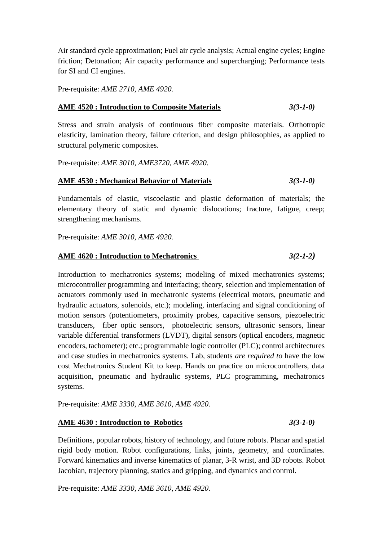Air standard cycle approximation; Fuel air cycle analysis; Actual engine cycles; Engine friction; Detonation; Air capacity performance and supercharging; Performance tests for SI and CI engines.

Pre-requisite: *AME 2710, AME 4920.*

#### **AME 4520 : Introduction to Composite Materials** *3(3-1-0)*

Stress and strain analysis of continuous fiber composite materials. Orthotropic elasticity, lamination theory, failure criterion, and design philosophies, as applied to structural polymeric composites.

Pre-requisite: *AME 3010, AME3720, AME 4920.*

#### **AME 4530 : Mechanical Behavior of Materials** *3(3-1-0)*

Fundamentals of elastic, viscoelastic and plastic deformation of materials; the elementary theory of static and dynamic dislocations; fracture, fatigue, creep; strengthening mechanisms.

Pre-requisite: *AME 3010, AME 4920.*

#### **AME 4620 : Introduction to Mechatronics** *3(2-1-2)*

Introduction to mechatronics systems; modeling of mixed mechatronics systems; microcontroller programming and interfacing; theory, selection and implementation of actuators commonly used in mechatronic systems (electrical motors, pneumatic and hydraulic actuators, solenoids, etc.); modeling, interfacing and signal conditioning of motion sensors (potentiometers, proximity probes, capacitive sensors, piezoelectric transducers, fiber optic sensors, photoelectric sensors, ultrasonic sensors, linear variable differential transformers (LVDT), digital sensors (optical encoders, magnetic encoders, tachometer); etc.; programmable logic controller (PLC); control architectures and case studies in mechatronics systems. Lab, students *are required to* have the low cost Mechatronics Student Kit to keep. Hands on practice on microcontrollers, data acquisition, pneumatic and hydraulic systems, PLC programming, mechatronics systems.

Pre-requisite: *AME 3330, AME 3610, AME 4920.*

#### **AME 4630 : Introduction to Robotics** *3(3-1-0)*

Definitions, popular robots, history of technology, and future robots. Planar and spatial rigid body motion. Robot configurations, links, joints, geometry, and coordinates. Forward kinematics and inverse kinematics of planar, 3-R wrist, and 3D robots. Robot Jacobian, trajectory planning, statics and gripping, and dynamics and control.

Pre-requisite: *AME 3330, AME 3610, AME 4920.*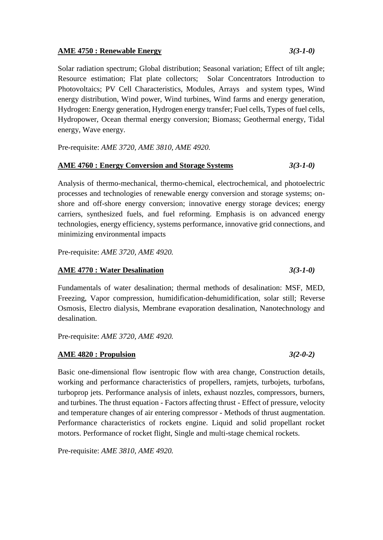#### **AME 4750 : Renewable Energy** *3(3-1-0)*

Solar radiation spectrum; Global distribution; Seasonal variation; Effect of tilt angle; Resource estimation; Flat plate collectors; Solar Concentrators Introduction to Photovoltaics; PV Cell Characteristics, Modules, Arrays and system types, Wind energy distribution, Wind power, Wind turbines, Wind farms and energy generation, Hydrogen: Energy generation, Hydrogen energy transfer; Fuel cells, Types of fuel cells, Hydropower, Ocean thermal energy conversion; Biomass; Geothermal energy, Tidal energy, Wave energy.

Pre-requisite: *AME 3720, AME 3810, AME 4920.*

#### **AME 4760 : Energy Conversion and Storage Systems** *3(3-1-0)*

Analysis of thermo-mechanical, thermo-chemical, electrochemical, and photoelectric processes and technologies of renewable energy conversion and storage systems; onshore and off-shore energy conversion; innovative energy storage devices; energy carriers, synthesized fuels, and fuel reforming. Emphasis is on advanced energy technologies, energy efficiency, systems performance, innovative grid connections, and minimizing environmental impacts

Pre-requisite: *AME 3720, AME 4920.*

#### **AME 4770 : Water Desalination** *3(3-1-0)*

Fundamentals of water desalination; thermal methods of desalination: MSF, MED, Freezing, Vapor compression, humidification-dehumidification, solar still; Reverse Osmosis, Electro dialysis, Membrane evaporation desalination, Nanotechnology and desalination.

Pre-requisite: *AME 3720, AME 4920.*

#### **AME 4820 : Propulsion** *3(2-0-2)*

Basic one-dimensional flow isentropic flow with area change, Construction details, working and performance characteristics of propellers, ramjets, turbojets, turbofans, turboprop jets. Performance analysis of inlets, exhaust nozzles, compressors, burners, and turbines. The thrust equation - Factors affecting thrust - Effect of pressure, velocity and temperature changes of air entering compressor - Methods of thrust augmentation. Performance characteristics of rockets engine. Liquid and solid propellant rocket motors. Performance of rocket flight, Single and multi-stage chemical rockets.

Pre-requisite: *AME 3810, AME 4920.*